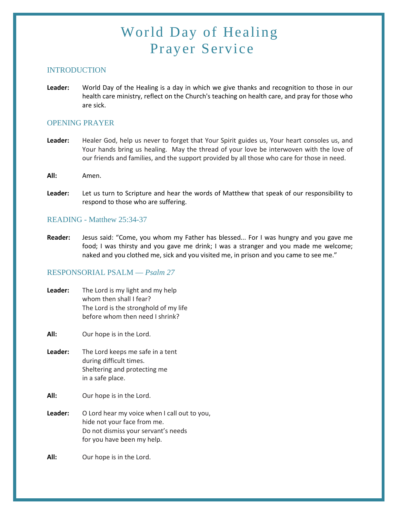# World Day of Healing Prayer Service

## **INTRODUCTION**

**Leader:** World Day of the Healing is a day in which we give thanks and recognition to those in our health care ministry, reflect on the Church's teaching on health care, and pray for those who are sick.

#### OPENING PRAYER

- **Leader:** Healer God, help us never to forget that Your Spirit guides us, Your heart consoles us, and Your hands bring us healing. May the thread of your love be interwoven with the love of our friends and families, and the support provided by all those who care for those in need.
- **All:** Amen.
- **Leader:** Let us turn to Scripture and hear the words of Matthew that speak of our responsibility to respond to those who are suffering.

#### READING - Matthew 25:34-37

**Reader:** Jesus said: "Come, you whom my Father has blessed... For I was hungry and you gave me food; I was thirsty and you gave me drink; I was a stranger and you made me welcome; naked and you clothed me, sick and you visited me, in prison and you came to see me."

#### RESPONSORIAL PSALM — *Psalm 27*

| Leader: | The Lord is my light and my help<br>whom then shall I fear?<br>The Lord is the stronghold of my life<br>before whom then need I shrink?          |
|---------|--------------------------------------------------------------------------------------------------------------------------------------------------|
| All:    | Our hope is in the Lord.                                                                                                                         |
| Leader: | The Lord keeps me safe in a tent<br>during difficult times.<br>Sheltering and protecting me<br>in a safe place.                                  |
| All:    | Our hope is in the Lord.                                                                                                                         |
| Leader: | O Lord hear my voice when I call out to you,<br>hide not your face from me.<br>Do not dismiss your servant's needs<br>for you have been my help. |
| All:    | Our hope is in the Lord.                                                                                                                         |